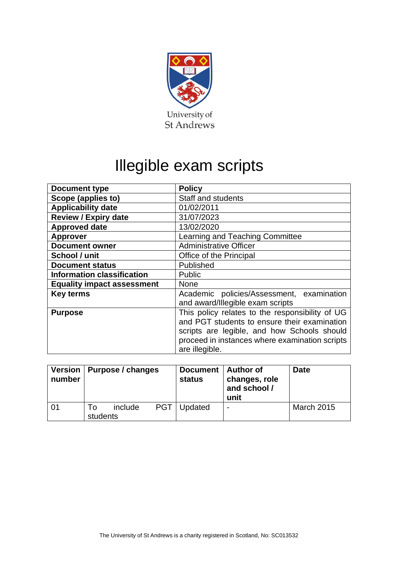

## Illegible exam scripts

| <b>Document type</b>              | <b>Policy</b>                                   |  |  |  |  |
|-----------------------------------|-------------------------------------------------|--|--|--|--|
| Scope (applies to)                | <b>Staff and students</b>                       |  |  |  |  |
| <b>Applicability date</b>         | 01/02/2011                                      |  |  |  |  |
| <b>Review / Expiry date</b>       | 31/07/2023                                      |  |  |  |  |
| <b>Approved date</b>              | 13/02/2020                                      |  |  |  |  |
| <b>Approver</b>                   | Learning and Teaching Committee                 |  |  |  |  |
| <b>Document owner</b>             | <b>Administrative Officer</b>                   |  |  |  |  |
| School / unit                     | Office of the Principal                         |  |  |  |  |
| <b>Document status</b>            | Published                                       |  |  |  |  |
| <b>Information classification</b> | <b>Public</b>                                   |  |  |  |  |
| <b>Equality impact assessment</b> | <b>None</b>                                     |  |  |  |  |
| <b>Key terms</b>                  | Academic policies/Assessment, examination       |  |  |  |  |
|                                   | and award/Illegible exam scripts                |  |  |  |  |
| <b>Purpose</b>                    | This policy relates to the responsibility of UG |  |  |  |  |
|                                   | and PGT students to ensure their examination    |  |  |  |  |
|                                   | scripts are legible, and how Schools should     |  |  |  |  |
|                                   | proceed in instances where examination scripts  |  |  |  |  |
|                                   | are illegible.                                  |  |  |  |  |

| Version  <br>number | Purpose / changes |         |     | Document   Author of<br>status | changes, role<br>and school /<br>unit | <b>Date</b>       |
|---------------------|-------------------|---------|-----|--------------------------------|---------------------------------------|-------------------|
| 01                  | Τo<br>students    | include | PGT | Updated                        | $\overline{\phantom{0}}$              | <b>March 2015</b> |